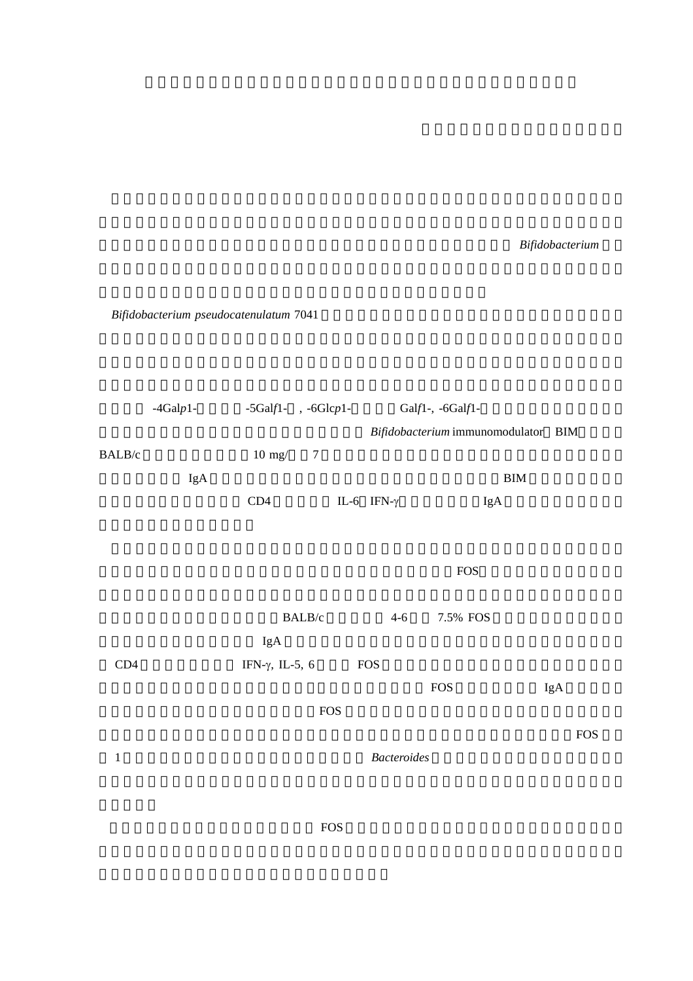的な関心が集まっている.本研究は,プロバイオティクスとして期待される *Bifidobacterium* 菌体

*Bifidobacterium pseudocatenulatum* 7041

|              | $-4$ Galp $1-$ | $-5$ Galf1 $-$ , $-6$ Glc $p$ 1 $-$ |                |                    | Galf1-, -6Galf1-                    |            |  |
|--------------|----------------|-------------------------------------|----------------|--------------------|-------------------------------------|------------|--|
|              |                |                                     |                |                    | Bifidobacterium immunomodulator BIM |            |  |
| BALB/c       |                | $10 \text{ mg}$ /                   | $\overline{7}$ |                    |                                     |            |  |
|              | IgA            |                                     |                |                    | <b>BIM</b>                          |            |  |
|              |                | CD4                                 |                | IL-6 IFN- $\gamma$ | IgA                                 |            |  |
|              |                |                                     |                |                    |                                     |            |  |
|              |                |                                     |                |                    |                                     |            |  |
|              |                |                                     |                |                    | <b>FOS</b>                          |            |  |
|              |                | BALB/c                              |                | $4 - 6$            | 7.5% FOS                            |            |  |
|              |                | IgA                                 |                |                    |                                     |            |  |
| CD4          |                | IFN- $\gamma$ , IL-5, 6             |                | <b>FOS</b>         |                                     |            |  |
|              |                |                                     |                |                    | $\rm FOS$                           | IgA        |  |
|              |                |                                     | <b>FOS</b>     |                    |                                     |            |  |
|              |                |                                     |                |                    |                                     | <b>FOS</b> |  |
| $\mathbf{1}$ |                | <b>Bacteroides</b>                  |                |                    |                                     |            |  |
|              |                |                                     |                |                    |                                     |            |  |